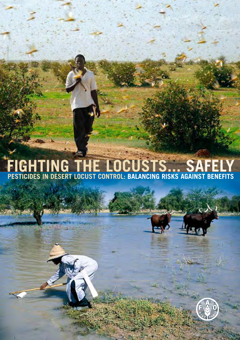### **PESTICIDES IN DESERT LOCUST CONTROL: BALANCING RISKS AGAINST BENEFITS FIGHTING THE LOCUSTS... SAFELY**

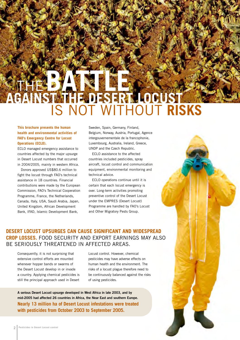### THE BATTLE OF **AGAINST THE DESERT LOCUST** IS NOT WITHOUT **RISKS**

### **This brochure presents the human health and environmental activities of FAO's Emergency Centre for Locust Operations (ECLO).**

ECLO managed emergency assistance to countries affected by the major upsurge in Desert Locust numbers that occurred in 2004/2005, mainly in western Africa.

Donors approved US\$80.6 million to fight the locust through FAO's technical assistance in 18 countries. Financial contributions were made by the European Commission, FAO's Technical Cooperation Programme, France, the Netherlands, Canada, Italy, USA, Saudi Arabia, Japan, United Kingdom, African Development Bank, IFAD, Islamic Development Bank,

Sweden, Spain, Germany, Finland, Belgium, Norway, Austria, Portugal, Agence intergouvernementale de la francophonie, Luxembourg, Australia, Ireland, Greece, UNDP and the Czech Republic.

ECLO assistance to the affected countries included pesticides, spray aircraft, locust control and communication equipment, environmental monitoring and technical advice.

ECLO operations continue until it is certain that each locust emergency is over. Long-term activities promoting preventive control of the Desert Locust under the EMPRES (Desert Locust) Programme are handled by FAO's Locust and Other Migratory Pests Group.

### **DESERT LOCUST UPSURGES CAN CAUSE SIGNIFICANT AND WIDESPREAD CROP LOSSES.** FOOD SECURITY AND EXPORT EARNINGS MAY ALSO BE SERIOUSLY THREATENED IN AFFECTED AREAS.

Consequently, it is not surprising that extensive control efforts are mounted whenever hopper bands or swarms of the Desert Locust develop in or invade a country. Applying chemical pesticides is still the principal approach used in Desert

Locust control. However, chemical pesticides may have adverse effects on human health and the environment. The risks of a locust plague therefore need to be continuously balanced against the risks of using pesticides.

**A serious Desert Locust upsurge developed in West Africa in late 2003, and by mid-2005 had affected 26 countries in Africa, the Near East and southern Europe. Nearly 13 million ha of Desert Locust infestations were treated with pesticides from October 2003 to September 2005.**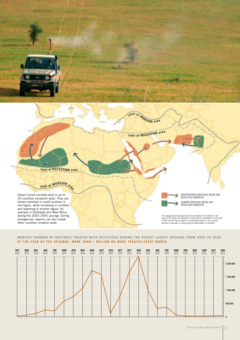

#### **MONTHLY NUMBER OF HECTARES TREATED WITH PESTICIDES DURING THE DESERT LOCUST UPSURGE FROM 2003 TO 2005 AT THE PEAK OF THE UPSURGE, MORE THAN 1 MILLION HA WERE TREATED EVERY MONTH**

| 007.03 | 03 <sup>10</sup> | 03 <sup>0.3</sup> | 04 | FEB.<br>04 | MAR.<br>04 | 04 | <b>MAY</b><br>04 | 04 | 04 | AUG.<br>04 | 04 | $00T$ . | 04 | 04 | $\frac{JAN}{0.5}$ | $\frac{FFB}{05}$ | MAR. | 05 | MAY | $\frac{J\text{UNE}}{0.5}$ | 05 | 05 <sup>10</sup> |
|--------|------------------|-------------------|----|------------|------------|----|------------------|----|----|------------|----|---------|----|----|-------------------|------------------|------|----|-----|---------------------------|----|------------------|
|        |                  |                   |    |            |            |    |                  |    |    |            |    |         |    |    |                   |                  |      |    |     |                           |    |                  |
|        |                  |                   |    |            |            |    |                  |    |    |            |    |         |    |    |                   |                  |      |    |     |                           |    | 2 000 000        |
|        |                  |                   |    |            |            |    |                  |    |    |            |    |         |    |    |                   |                  |      |    |     |                           |    | 1500000          |
|        |                  |                   |    |            |            |    |                  |    |    |            |    |         |    |    |                   |                  |      |    |     |                           |    |                  |
|        |                  |                   |    |            |            |    |                  |    |    |            |    |         |    |    |                   |                  |      |    |     |                           |    | 1 000 000        |
|        |                  |                   |    |            |            |    |                  |    |    |            |    |         |    |    |                   |                  |      |    |     |                           |    |                  |
|        |                  |                   |    |            |            |    |                  |    |    |            |    |         |    |    |                   |                  |      |    |     |                           |    | 500 000          |
|        |                  |                   |    |            |            |    |                  |    |    |            |    |         |    |    |                   |                  |      |    |     |                           |    |                  |
|        |                  |                   |    |            |            |    |                  |    |    |            |    |         |    |    |                   |                  |      |    |     |                           |    |                  |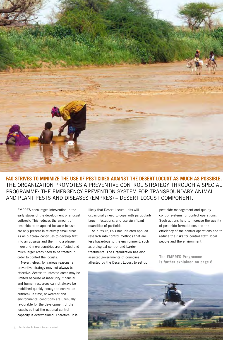

**FAO STRIVES TO MINIMIZE THE USE OF PESTICIDES AGAINST THE DESERT LOCUST AS MUCH AS POSSIBLE.** THE ORGANIZATION PROMOTES A PREVENTIVE CONTROL STRATEGY THROUGH A SPECIAL PROGRAMME: THE EMERGENCY PREVENTION SYSTEM FOR TRANSBOUNDARY ANIMAL AND PLANT PESTS AND DISEASES (EMPRES) – DESERT LOCUST COMPONENT.

EMPRES encourages intervention in the early stages of the development of a locust outbreak. This reduces the amount of pesticide to be applied because locusts are only present in relatively small areas. As an outbreak continues to develop first into an upsurge and then into a plague, more and more countries are affected and much larger areas need to be treated in order to control the locusts.

Nevertheless, for various reasons, a preventive strategy may not always be effective. Access to infested areas may be limited because of insecurity; financial and human resources cannot always be mobilized quickly enough to control an outbreak in time; or weather and environmental conditions are unusually favourable for the development of the locusts so that the national control capacity is overwhelmed. Therefore, it is

likely that Desert Locust units will occasionally need to cope with particularly large infestations, and use significant quantities of pesticide.

As a result, FAO has initiated applied research into control methods that are less hazardous to the environment, such as biological control and barrier treatments. The Organization has also assisted governments of countries affected by the Desert Locust to set up

pesticide management and quality control systems for control operations. Such actions help to increase the quality of pesticide formulations and the efficiency of the control operations and to reduce the risks for control staff, local people and the environment.

**The EMPRES Programme is further explained on page 8.**

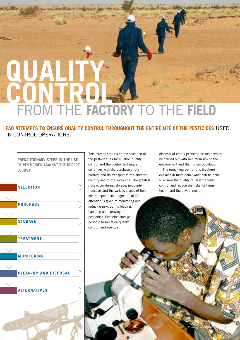# **QUALITY CON** FROM THE **FACTORY** TO THE **FIELD**

**FAO ATTEMPTS TO ENSURE QUALITY CONTROL THROUGHOUT THE ENTIRE LIFE OF THE PESTICIDES** USED IN CONTROL OPERATIONS.

**PRECAUTIONARY STEPS IN THE USE OF PESTICIDES AGAINST THE DESERT LOCUST**



This already starts with the selection of the pesticide, its formulation quality control and the control technique. It continues with the purchase of the product and its transport to the affected country and to the spray site. The greatest risks occur during storage, in-country transport and the various stages of field control operations; a great deal of attention is given to monitoring and reducing risks during loading, handling and spraying of pesticides. Pesticide storage, periodic formulation quality control, and eventual

disposal of empty pesticide drums need to be carried out with minimum risk to the environment and the human population.

The remaining part of this brochure explains in more detail what can be done to ensure the quality of Desert Locust control and reduce the risks for human health and the environment.

Balancing risks against benefits **5**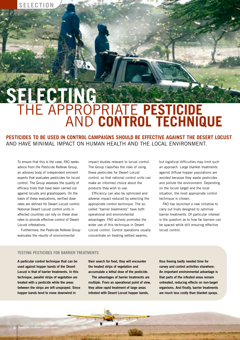### **SELECTING** THE APPROPRIATE **PESTICIDE** AND **CONTROL TECHNIQUE**

**PESTICIDES TO BE USED IN CONTROL CAMPAIGNS SHOULD BE EFFECTIVE AGAINST THE DESERT LOCUST** AND HAVE MINIMAL IMPACT ON HUMAN HEALTH AND THE LOCAL ENVIRONMENT.

To ensure that this is the case, FAO seeks advice from the Pesticide Referee Group, an advisory body of independent eminent experts that evaluates pesticides for locust control. The Group assesses the quality of efficacy trials that have been carried out against locusts and grasshoppers. On the basis of these evaluations, verified dose rates are defined for Desert Locust control. National Desert Locust control units in affected countries can rely on these dose rates to provide effective control of Desert Locust infestations.

Furthermore, the Pesticide Referee Group evaluates the results of environmental

impact studies relevant to locust control. The Group classifies the risks of using these pesticides for Desert Locust control, so that national control units can make an informed choice about the products they wish to use.

Efficiency can also be optimized and adverse impact reduced by selecting the appropriate control technique. The socalled "barrier treatments" have both operational and environmental advantages. FAO actively promotes the wider use of this technique in Desert Locust control. Control operations usually concentrate on treating settled swarms,

but logistical difficulties may limit such an approach. Large blanket treatments against diffuse hopper populations are avoided because they waste pesticides and pollute the environment. Depending on the locust target and the local situation, the most appropriate control technique is chosen.

FAO has launched a new initiative to carry out trials designed to optimize barrier treatments. Of particular interest is the question as to how far barriers can be spaced while still ensuring effective locust control.

### **TESTING PESTICIDES FOR BARRIER TREATMENTS**

**A particular control technique that can be used against hopper bands of the Desert Locust is that of barrier treatments. In this technique, parallel strips of vegetation are treated with a pesticide while the areas between the strips are left unsprayed. Since hopper bands tend to move downwind in**

**their search for food, they will encounter the treated strips of vegetation and accumulate a lethal dose of the pesticide.**

**The advantages of barrier treatments are multiple. From an operational point of view, they allow rapid treatment of large areas infested with Desert Locust hopper bands,**

**thus freeing badly needed time for survey and control activities elsewhere. An important environmental advantage is that parts of the infested areas remain untreated, reducing effects on non-target organisms. And finally, barrier treatments are much less costly than blanket sprays.**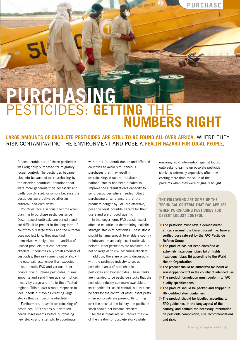### **PURCHASING**  PESTICIDES: **GETTING** THE **NUMBERS RIGHT**

**RESTRICTED** 

**LARGE AMOUNTS OF OBSOLETE PESTICIDES ARE STILL TO BE FOUND ALL OVER AFRICA**, WHERE THEY RISK CONTAMINATING THE ENVIRONMENT AND POSE A **HEALTH HAZARD FOR LOCAL PEOPLE.**

A considerable part of these pesticides was originally purchased for migratory locust control. The pesticides became obsolete because of overpurchasing by the affected countries, donations that were more generous than necessary and badly coordinated, or simply because the pesticides were delivered after an outbreak had died down.

Countries face a serious dilemma when planning to purchase pesticides since Desert Locust outbreaks are periodic and are difficult to predict in the long term. If countries buy large stocks and the outbreak does not last long, they may find themselves with significant quantities of unused products that can become obsolete. If countries buy small amounts of pesticides, they risk running out of stock if the outbreak lasts longer than expected.

As a result, FAO and various other donors now purchase pesticides in small amounts and send them at short notice, mostly by cargo aircraft, to the affected regions. This allows a rapid response to local needs but avoids creating large stocks that can become obsolete.

Furthermore, to avoid overstocking of pesticides, FAO carries out detailed needs assessments before purchasing new stocks and attempts to coordinate

with other (bilateral) donors and affected countries to avoid simultaneous purchases that may result in overstocking. A central databank of national stocks has been created to improve the Organization's capacity to send pesticides where needed. Strict purchasing criteria ensure that the products bought by FAO are effective, pose the least possible hazard for their users and are of good quality.

In the longer term, FAO assists locustaffected countries in determining realistic strategic stocks of pesticides. These stocks should be large enough to enable a country to intervene in an early locust outbreak before further pesticides are obtained, but not so large as to risk becoming obsolete. In addition, there are ongoing discussions with the pesticide industry to set up pesticide banks of both chemical pesticides and biopesticides. These banks are intended to be pesticide stocks that the pesticide industry can make available at short notice for locust control, but that can be sold for the control of other insect pests when no locusts are present. By turning over the stock at the factory, the pesticide stock should not become obsolete.

All these measures will reduce the risk of the creation of obsolete stocks while

ensuring rapid intervention against locust outbreaks. Cleaning up obsolete pesticide stocks is extremely expensive, often now costing more than the value of the products when they were originally bought.

**THE FOLLOWING ARE SOME OF THE TECHNICAL CRITERIA THAT FAO APPLIES WHEN PURCHASING PESTICIDES FOR DESERT LOCUST CONTROL**

- **>The pesticide must have a demonstrated efficacy against the Desert Locust, i.e. have a verified dose rate set by the FAO Pesticide Referee Group**
- **>The product has not been classified as extremely hazardous (class Ia) or highly hazardous (class Ib) according to the World Health Organization**
- **>The product should be authorized for locust or grasshopper control in the country of intended use**
- **>The product formulation must conform to FAO quality specifications**
- **>The product should be packed and shipped in UN-certified steel containers**
- **>The product should be labelled according to FAO guidelines, in the language(s) of the country, and contain the necessary information on pesticide composition, use recommendations and risks**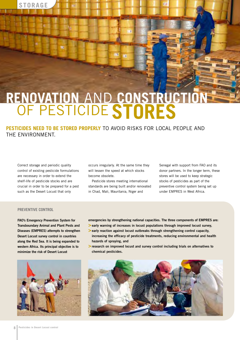

### **RENOVATION** AND **CONSTRUCTION**  OF PESTICIDE **STORES**

H)

**PESTICIDES NEED TO BE STORED PROPERLY** TO AVOID RISKS FOR LOCAL PEOPLE AND THE ENVIRONMENT.

Correct storage and periodic quality control of existing pesticide formulations are necessary in order to extend the shelf-life of pesticide stocks and are crucial in order to be prepared for a pest such as the Desert Locust that only

occurs irregularly. At the same time they will lessen the speed at which stocks become obsolete.

Pesticide stores meeting international standards are being built and/or renovated in Chad, Mali, Mauritania, Niger and

Senegal with support from FAO and its donor partners. In the longer term, these stores will be used to keep strategic stocks of pesticides as part of the preventive control system being set up under EMPRES in West Africa.

#### **PREVENTIVE CONTROL**

**FAO's Emergency Prevention System for Transboundary Animal and Plant Pests and Diseases (EMPRES) attempts to strengthen Desert Locust survey control in countries along the Red Sea. It is being expanded to western Africa. Its principal objective is to minimize the risk of Desert Locust**



- **emergencies by strengthening national capacities. The three components of EMPRES are:**
- **>early warning of increases in locust populations through improved locust survey,**
- **>early reaction against locust outbreaks through strengthening control capacity, increasing the efficacy of pesticide treatments, reducing environmental and health hazards of spraying, and**
- **>research on improved locust and survey control including trials on alternatives to chemical pesticides.**

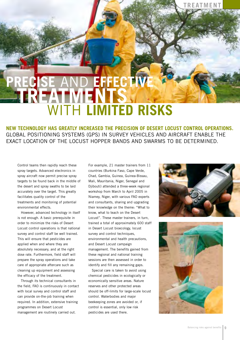### **PRECISE** AND **EFFECTIVE TREATMENTS**  WITH **LIMITED RISKS**

**NEW TECHNOLOGY HAS GREATLY INCREASED THE PRECISION OF DESERT LOCUST CONTROL OPERATIONS.** GLOBAL POSITIONING SYSTEMS (GPS) IN SURVEY VEHICLES AND AIRCRAFT ENABLE THE EXACT LOCATION OF THE LOCUST HOPPER BANDS AND SWARMS TO BE DETERMINED.

Control teams then rapidly reach these spray targets. Advanced electronics in spray aircraft now permit precise spray targets to be found back in the middle of the desert and spray swaths to be laid accurately over the target. This greatly facilitates quality control of the treatments and monitoring of potential environmental effects.

However, advanced technology in itself is not enough. A basic prerequisite in order to minimize the risks of Desert Locust control operations is that national survey and control staff be well trained. This will ensure that pesticides are applied when and where they are absolutely necessary, and at the right dose rate. Furthermore, field staff will prepare the spray operations and take care of appropriate aftercare such as cleaning up equipment and assessing the efficacy of the treatment.

Through its technical consultants in the field, FAO is continuously in contact with local survey and control staff and can provide on-the-job training when required. In addition, extensive training programmes on Desert Locust management are routinely carried out.

For example, 21 master trainers from 11 countries (Burkina Faso, Cape Verde, Chad, Gambia, Guinea, Guinea-Bissau, Mali, Mauritania, Niger, Senegal and Djibouti) attended a three-week regional workshop from March to April 2005 in Niamey, Niger, with various FAO experts and consultants, sharing and upgrading their knowledge on the theme: "What to know, what to teach on the Desert Locust". These master trainers, in turn, trained a total of approximately 600 staff in Desert Locust bioecology, locust survey and control techniques, environmental and health precautions, and Desert Locust campaign management. The benefits gained from these regional and national training sessions are then assessed in order to identify and fill any remaining gaps.

Special care is taken to avoid using chemical pesticides in ecologically or economically sensitive areas. Nature reserves and other protected areas should be off-limits for large-scale locust control. Waterbodies and major beekeeping zones are avoided or, if control is essential, only low risk pesticides are used there.



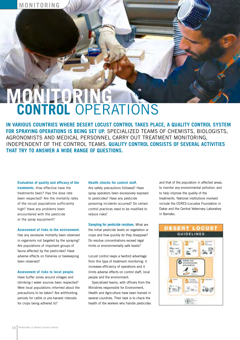### **MONITORING CONTROL** OPERATIONS

**IN VARIOUS COUNTRIES WHERE DESERT LOCUST CONTROL TAKES PLACE, A QUALITY CONTROL SYSTEM FOR SPRAYING OPERATIONS IS BEING SET UP.** SPECIALIZED TEAMS OF CHEMISTS, BIOLOGISTS, AGRONOMISTS AND MEDICAL PERSONNEL CARRY OUT TREATMENT MONITORING, INDEPENDENT OF THE CONTROL TEAMS. **QUALITY CONTROL CONSISTS OF SEVERAL ACTIVITIES THAT TRY TO ANSWER A WIDE RANGE OF QUESTIONS.**

#### **Evaluation of quality and efficacy of the**

**treatments.** How effective have the treatments been? Has the dose rate been respected? Are the mortality rates of the locust populations sufficiently high? Have any problems been encountered with the pesticide or the spray equipment?

#### **Assessment of risks to the environment.**

Has any excessive mortality been observed in organisms not targeted by the spraying? Are populations of important groups of fauna affected by the pesticides? Have adverse effects on fisheries or beekeeping been observed?

#### **Assessment of risks to local people.**

Have buffer zones around villages and (drinking-) water sources been respected? Were local populations informed about the precautions to be taken? Are withholding periods for cattle or pre-harvest intervals for crops being adhered to?

#### **Health checks for control staff.**

Are safety precautions followed? Have spray operators been excessively exposed to pesticides? Have any pesticide poisoning incidents occurred? Do certain control practices need to be modified to reduce risks?

**Sampling for pesticide residues.** What are the initial pesticide levels on vegetation or crops and how quickly do they disappear? Do residue concentrations exceed legal limits or environmentally safe levels?

Locust control reaps a twofold advantage from this type of treatment monitoring: it increases efficiency of operations and it limits adverse effects on control staff, local people and the environment.

Specialized teams, with officers from the Ministries responsible for Environment, Health and Agriculture have been trained in several countries. Their task is to check the health of the workers who handle pesticides

and that of the population in affected areas; to monitor any environmental pollution; and to help improve the quality of the treatments. National institutions involved include the CERES-Locustox Foundation in Dakar and the Central Veterinary Laboratory in Bamako.

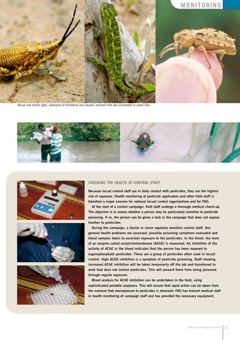

Above and below right: examples of terrestrial and aquatic animals that are vulnerable to pesticides









#### **CHECKING THE HEALTH OF CONTROL STAFF**

**Because locust control staff are in daily contact with pesticides, they run the highest risk of exposure. Health monitoring of pesticide applicators and other field staff is therefore a major concern for national locust control organizations and for FAO.**

**At the start of a control campaign, field staff undergo a thorough medical check-up. The objective is to assess whether a person may be particularly sensitive to pesticide poisoning. If so, the person can be given a task in the campaign that does not expose him/her to pesticides.** 

**During the campaign, a doctor or nurse regularly monitors control staff. Any general health problems are assessed, possible poisoning symptoms evaluated and blood samples taken to ascertain exposure to the pesticides. In the blood, the level of an enzyme called acetylcholinesterase (AChE) is measured. An inhibition of the activity of AChE in the blood indicates that the person has been exposed to organophosphate pesticides. These are a group of pesticides often used in locust control. High AChE inhibition is a symptom of pesticide poisoning. Staff showing increased AChE inhibition will be taken temporarily off the job and transferred to work that does not involve pesticides. This will prevent them from being poisoned through regular exposure.**

**Blood analysis for AChE inhibition can be undertaken in the field, using sophisticated portable analysers. This will ensure that rapid action can be taken from the moment that overexposure to pesticides is observed. FAO has trained medical staff in health monitoring of campaign staff and has provided the necessary equipment.**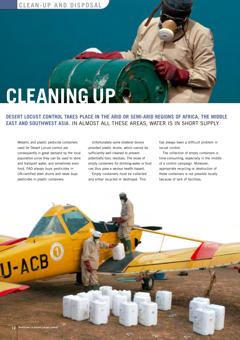

### **DESERT LOCUST CONTROL TAKES PLACE IN THE ARID OR SEMI-ARID REGIONS OF AFRICA, THE MIDDLE EAST AND SOUTHWEST ASIA.** IN ALMOST ALL THESE AREAS, WATER IS IN SHORT SUPPLY.

Metallic and plastic pesticide containers used for Desert Locust control are consequently in great demand by the local population since they can be used to store and transport water, and sometimes even food. FAO always buys pesticides in UN-certified steel drums and never buys pesticides in plastic containers.

Unfortunately some bilateral donors provided plastic drums, which cannot be sufficiently well cleaned to prevent potentially toxic residues. The reuse of empty containers for drinking-water or food can thus pose a serious health hazard.

Empty containers must be collected and either recycled or destroyed. This

has always been a difficult problem in locust control.

The collection of empty containers is time-consuming, especially in the middle of a control campaign. Moreover, appropriate recycling or destruction of these containers is not possible locally because of lack of facilities.

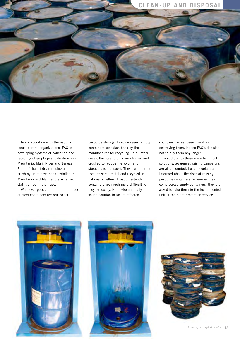

In collaboration with the national locust control organizations, FAO is developing systems of collection and recycling of empty pesticide drums in Mauritania, Mali, Niger and Senegal. State-of-the-art drum rinsing and crushing units have been installed in Mauritania and Mali, and specialized staff trained in their use.

Whenever possible, a limited number of steel containers are reused for

pesticide storage. In some cases, empty containers are taken back by the manufacturer for recycling. In all other cases, the steel drums are cleaned and crushed to reduce the volume for storage and transport. They can then be used as scrap metal and recycled in national smelters. Plastic pesticide containers are much more difficult to recycle locally. No environmentally sound solution in locust-affected

countries has yet been found for destroying them. Hence FAO's decision not to buy them any longer.

In addition to these more technical solutions, awareness raising campaigns are also mounted. Local people are informed about the risks of reusing pesticide containers. Whenever they come across empty containers, they are asked to take them to the locust control unit or the plant protection service.





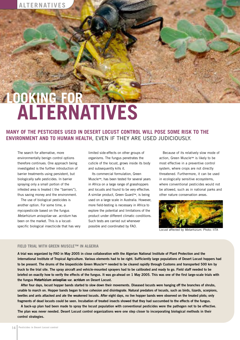## **LOOKING FOR ALTERNATIVES**

**MANY OF THE PESTICIDES USED IN DESERT LOCUST CONTROL WILL POSE SOME RISK TO THE ENVIRONMENT AND TO HUMAN HEALTH**, EVEN IF THEY ARE USED JUDICIOUSLY.

The search for alternative, more environmentally benign control options therefore continues. One approach being investigated is the further introduction of barrier treatments using persistent, but biologically safe pesticides. In barrier spraying only a small portion of the infested area is treated ( the "barriers"), thus saving money and the environment.

The use of biological pesticides is another option. For some time, a mycopesticide based on the fungus *Metarhizium anisopliae* var. *acridum* has been on the market. This is a locustspecific biological insecticide that has very

limited side-effects on other groups of organisms. The fungus penetrates the cuticle of the locust, grows inside its body and subsequently kills it.

Its commercial formulation, Green Muscle™, has been tested for several years in Africa on a large range of grasshoppers and locusts and found to be very effective. A similar product, Green Guard™, is being used on a large scale in Australia. However, more field-testing is necessary in Africa to explore the potential and limitations of the product under different climatic conditions. Such tests are carried out whenever possible and coordinated by FAO.

Because of its relatively slow mode of action, Green Muscle™ is likely to be most effective in a preventive control system, where crops are not directly threatened. Furthermore, it can be used in ecologically sensitive ecosystems, where conventional pesticides would not be allowed, such as in national parks and other nature conservation areas.



Locust affected by *Metarhizium*. Photo: IITA

### **FIELD TRIAL WITH GREEN MUSCLE™ IN ALGERIA**

**A trial was organized by FAO in May 2005 in close collaboration with the Algerian National Institute of Plant Protection and the International Institute of Tropical Agriculture. Various elements had to be right. Sufficiently large populations of Desert Locust hoppers had to be present. The drums of the biopesticide Green Muscle™ needed to be cleared rapidly through Customs and transported 500 km by truck to the trial site. The spray aircraft and vehicle-mounted sprayers had to be calibrated and ready to go. Field staff needed to be briefed on exactly how to verify the effects of the fungus. It was go-ahead on 1 May 2005. This was one of the first large-scale trials with the fungus** *Metarhizium anisopliae* **var.** *acridum* **on Desert Locust.** 

**After four days, locust hopper bands started to slow down their movements. Diseased locusts were hanging off the branches of shrubs, unable to march on. Hopper bands began to lose cohesion and disintegrate. Natural predators of locusts, such as birds, lizards, scorpions, beetles and ants attacked and ate the weakened locusts. After eight days, no live hopper bands were observed on the treated plots; only fragments of dead locusts could be seen. Incubation of treated insects showed that they had succumbed to the effects of the fungus.**

**A back-up plan had been made to spray the locust population with conventional pesticides were the pathogen not to be effective. The plan was never needed. Desert Locust control organizations were one step closer to incorporating biological methods in their control strategies.**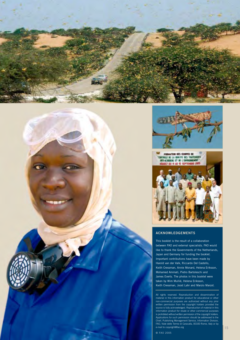





### **ACKNOWLEDGEMENTS**

This booklet is the result of a collaboration between FAO and external specialists. FAO would like to thank the Governments of the Netherlands, Japan and Germany for funding the booklet. Important contributions have been made by Harold van der Valk, Riccardo Del Castello, Keith Cressman, Annie Monard, Helena Eriksson, Mohamed Ammati, Pietro Bartoleschi and James Everts. The photos in this booklet were taken by Wim Mullié, Helena Eriksson, Keith Cressman, Joost Lahr and Marzio Marzot.

All rights reserved. Reproduction and dissemination of material in this information product for educational or other non-commercial purposes are authorized without any prior written permission from the copyright holders provided the source is fully acknowledged. Reproduction of material in this information product for resale or other commercial purposes is prohibited without written permission of the copyright holders. Applications for such permission should be addressed to the Chief, Publishing Management Service, Information Division, FAO, Viale delle Terme di Caracalla, 00100 Rome, Italy or by e-mail to copyright@fao.org

© FAO 2005